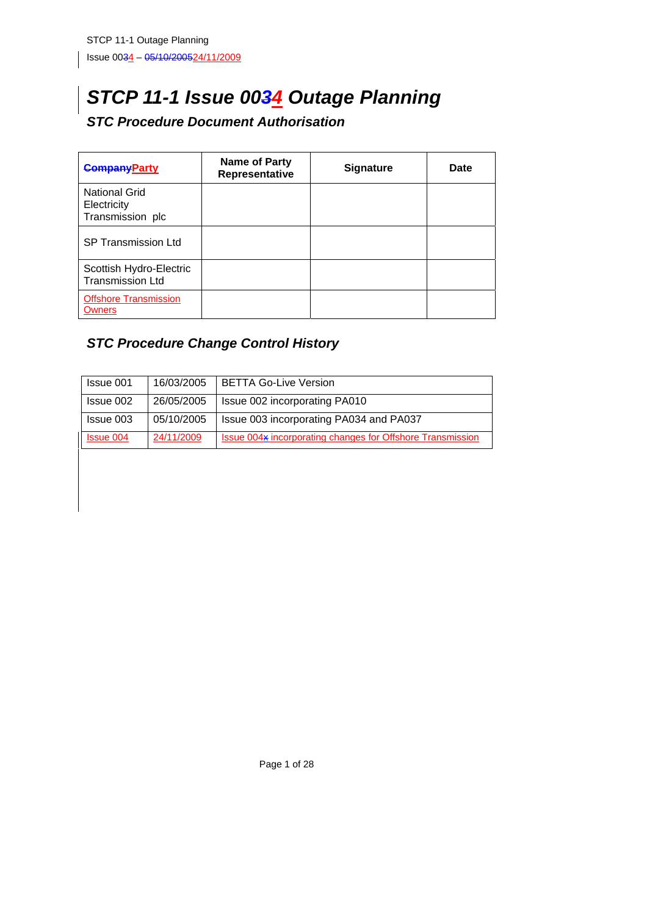# *STCP 11-1 Issue 0034 Outage Planning*

# *STC Procedure Document Authorisation*

| <b>CompanyParty</b>                                     | <b>Name of Party</b><br>Representative | <b>Signature</b> | Date |
|---------------------------------------------------------|----------------------------------------|------------------|------|
| <b>National Grid</b><br>Electricity<br>Transmission plc |                                        |                  |      |
| <b>SP Transmission Ltd</b>                              |                                        |                  |      |
| Scottish Hydro-Electric<br><b>Transmission Ltd</b>      |                                        |                  |      |
| <b>Offshore Transmission</b><br>Owners                  |                                        |                  |      |

# *STC Procedure Change Control History*

| Issue 001        | 16/03/2005 | <b>BETTA Go-Live Version</b>                               |
|------------------|------------|------------------------------------------------------------|
| Issue 002        | 26/05/2005 | Issue 002 incorporating PA010                              |
| Issue 003        | 05/10/2005 | Issue 003 incorporating PA034 and PA037                    |
| <b>Issue 004</b> | 24/11/2009 | Issue 004x incorporating changes for Offshore Transmission |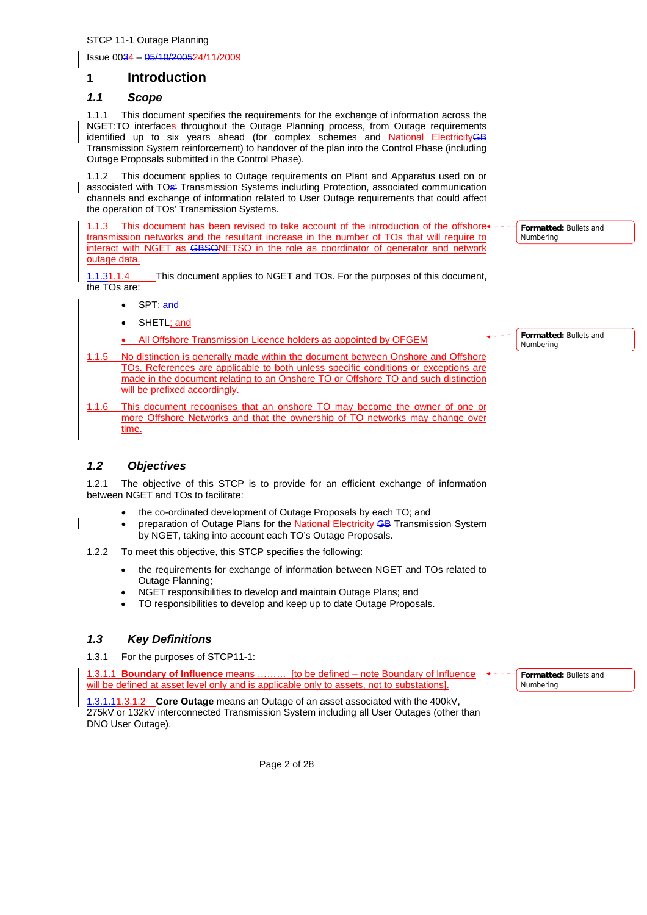Issue 0034 – 05/10/200524/11/2009

## **1 Introduction**

## *1.1 Scope*

1.1.1 This document specifies the requirements for the exchange of information across the NGET:TO interfaces throughout the Outage Planning process, from Outage requirements identified up to six years ahead (for complex schemes and National ElectricityGB Transmission System reinforcement) to handover of the plan into the Control Phase (including Outage Proposals submitted in the Control Phase).

1.1.2 This document applies to Outage requirements on Plant and Apparatus used on or associated with TOs<sup>1</sup> Transmission Systems including Protection, associated communication channels and exchange of information related to User Outage requirements that could affect the operation of TOs' Transmission Systems.

1.1.3 This document has been revised to take account of the introduction of the offshore+ transmission networks and the resultant increase in the number of TOs that will require to interact with NGET as GBSONETSO in the role as coordinator of generator and network outage data.

1.1.31.1.4 This document applies to NGET and TOs. For the purposes of this document, the TOs are:

- SPT: and
- SHETL; and

All Offshore Transmission Licence holders as appointed by OFGEM

- 1.1.5 No distinction is generally made within the document between Onshore and Offshore TOs. References are applicable to both unless specific conditions or exceptions are made in the document relating to an Onshore TO or Offshore TO and such distinction will be prefixed accordingly.
- 1.1.6 This document recognises that an onshore TO may become the owner of one or more Offshore Networks and that the ownership of TO networks may change over time.

## *1.2 Objectives*

1.2.1 The objective of this STCP is to provide for an efficient exchange of information between NGET and TOs to facilitate:

- the co-ordinated development of Outage Proposals by each TO; and
- preparation of Outage Plans for the National Electricity GB Transmission System by NGET, taking into account each TO's Outage Proposals.
- 1.2.2 To meet this objective, this STCP specifies the following:
	- the requirements for exchange of information between NGET and TOs related to Outage Planning;
	- NGET responsibilities to develop and maintain Outage Plans; and
	- TO responsibilities to develop and keep up to date Outage Proposals.

## *1.3 Key Definitions*

1.3.1 For the purposes of STCP11-1:

1.3.1.1 **Boundary of Influence** means ……… [to be defined – note Boundary of Influence will be defined at asset level only and is applicable only to assets, not to substations].

1.3.1.11.3.1.2 **Core Outage** means an Outage of an asset associated with the 400kV, 275kV or 132kV interconnected Transmission System including all User Outages (other than DNO User Outage).

**Formatted:** Bullets and Numbering

**Formatted:** Bullets and

Numbering

**Formatted:** Bullets and Numbering

Page 2 of 28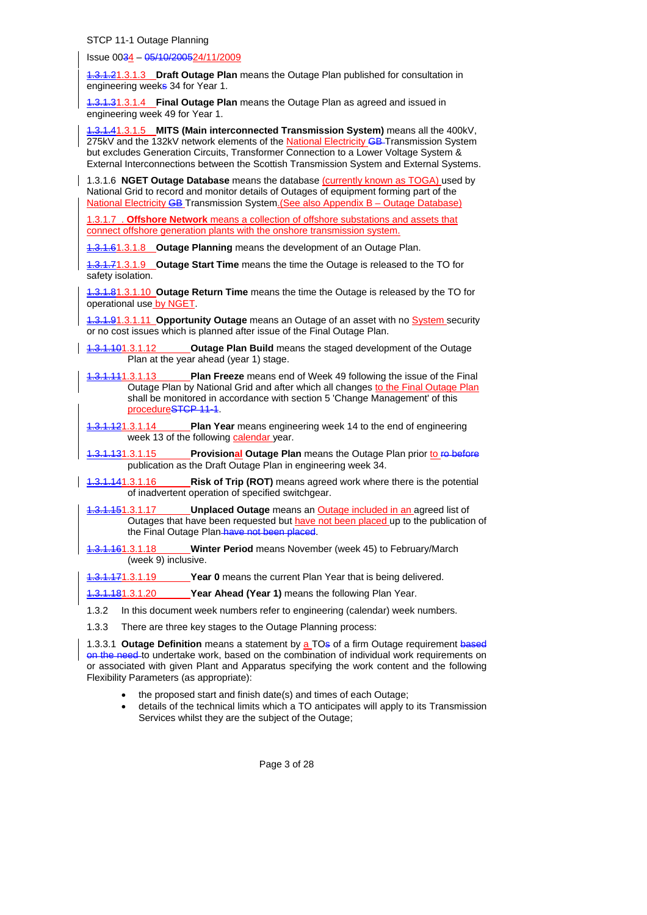Issue 0034 – 05/10/200524/11/2009

1.3.1.21.3.1.3 **Draft Outage Plan** means the Outage Plan published for consultation in engineering weeks 34 for Year 1.

1.3.1.31.3.1.4 **Final Outage Plan** means the Outage Plan as agreed and issued in engineering week 49 for Year 1.

1.3.1.41.3.1.5 **MITS (Main interconnected Transmission System)** means all the 400kV, 275kV and the 132kV network elements of the National Electricity GB-Transmission System but excludes Generation Circuits, Transformer Connection to a Lower Voltage System & External Interconnections between the Scottish Transmission System and External Systems.

1.3.1.6 **NGET Outage Database** means the database (currently known as TOGA) used by National Grid to record and monitor details of Outages of equipment forming part of the National Electricity GB Transmission System. (See also Appendix B – Outage Database)

1.3.1.7 . **Offshore Network** means a collection of offshore substations and assets that connect offshore generation plants with the onshore transmission system.

1.3.1.61.3.1.8 **Outage Planning** means the development of an Outage Plan.

1.3.1.71.3.1.9 **Outage Start Time** means the time the Outage is released to the TO for safety isolation.

1.3.1.81.3.1.10 **Outage Return Time** means the time the Outage is released by the TO for operational use by NGET.

1.3.1.91.3.1.11 **Opportunity Outage** means an Outage of an asset with no System security or no cost issues which is planned after issue of the Final Outage Plan.

- 1.3.1.101.3.1.12 **Outage Plan Build** means the staged development of the Outage Plan at the year ahead (year 1) stage.
- **1.111.3.1.13** Plan Freeze means end of Week 49 following the issue of the Final Outage Plan by National Grid and after which all changes to the Final Outage Plan shall be monitored in accordance with section 5 'Change Management' of this procedureSTCP 11-1.
- 1.3.1.121.3.1.14 **Plan Year** means engineering week 14 to the end of engineering week 13 of the following calendar year.
- 1.3.1.131.3.1.15 **Provisional Outage Plan** means the Outage Plan prior to ro before publication as the Draft Outage Plan in engineering week 34.
- 1.3.1.141.3.1.16 **Risk of Trip (ROT)** means agreed work where there is the potential of inadvertent operation of specified switchgear.

1.3.1.151.3.1.17 **Unplaced Outage** means an Outage included in an agreed list of Outages that have been requested but have not been placed up to the publication of the Final Outage Plan have not been placed.

1.3.1.161.3.1.18 **Winter Period** means November (week 45) to February/March (week 9) inclusive.

1.3.1.171.3.1.19 **Year 0** means the current Plan Year that is being delivered.

1.3.1.181.3.1.20 **Year Ahead (Year 1)** means the following Plan Year.

- 1.3.2 In this document week numbers refer to engineering (calendar) week numbers.
- 1.3.3 There are three key stages to the Outage Planning process:

1.3.3.1 **Outage Definition** means a statement by a TOs of a firm Outage requirement based on the need-to undertake work, based on the combination of individual work requirements on or associated with given Plant and Apparatus specifying the work content and the following Flexibility Parameters (as appropriate):

- the proposed start and finish date(s) and times of each Outage;
- details of the technical limits which a TO anticipates will apply to its Transmission Services whilst they are the subject of the Outage;

Page 3 of 28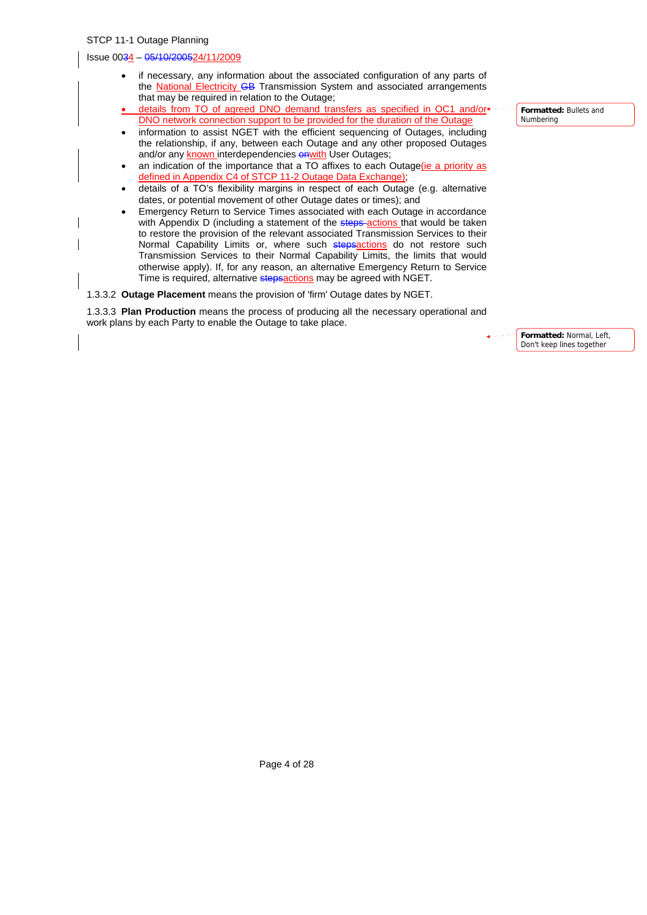#### Issue 0034 – 05/10/200524/11/2009

- if necessary, any information about the associated configuration of any parts of the **National Electricity GB** Transmission System and associated arrangements that may be required in relation to the Outage;
- details from TO of agreed DNO demand transfers as specified in OC1 and/or DNO network connection support to be provided for the duration of the Outage
- information to assist NGET with the efficient sequencing of Outages, including the relationship, if any, between each Outage and any other proposed Outages and/or any known interdependencies **onwith** User Outages;
- an indication of the importance that a TO affixes to each Outage(ie a priority as defined in Appendix C4 of STCP 11-2 Outage Data Exchange);
- details of a TO's flexibility margins in respect of each Outage (e.g. alternative dates, or potential movement of other Outage dates or times); and
- Emergency Return to Service Times associated with each Outage in accordance with Appendix D (including a statement of the steps-actions that would be taken to restore the provision of the relevant associated Transmission Services to their Normal Capability Limits or, where such stepsactions do not restore such Transmission Services to their Normal Capability Limits, the limits that would otherwise apply). If, for any reason, an alternative Emergency Return to Service Time is required, alternative stepsactions may be agreed with NGET.

1.3.3.2 **Outage Placement** means the provision of 'firm' Outage dates by NGET.

1.3.3.3 **Plan Production** means the process of producing all the necessary operational and work plans by each Party to enable the Outage to take place.

> **Formatted:** Normal, Left, Don't keep lines together

**Formatted:** Bullets and Numbering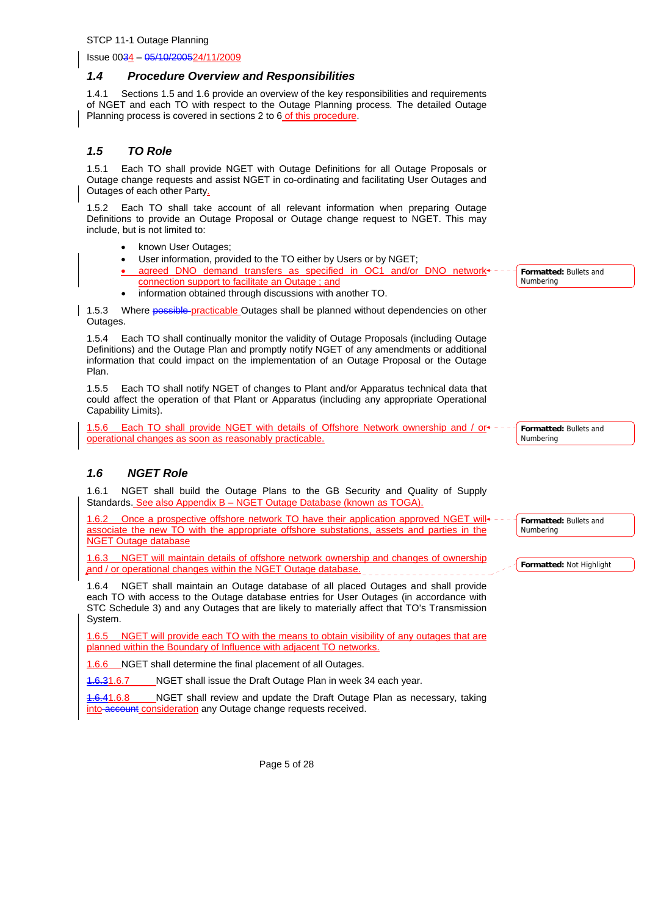Issue 0034 – 05/10/200524/11/2009

#### *1.4 Procedure Overview and Responsibilities*

1.4.1 Sections 1.5 and 1.6 provide an overview of the key responsibilities and requirements of NGET and each TO with respect to the Outage Planning process*.* The detailed Outage Planning process is covered in sections 2 to 6 of this procedure.

## *1.5 TO Role*

1.5.1 Each TO shall provide NGET with Outage Definitions for all Outage Proposals or Outage change requests and assist NGET in co-ordinating and facilitating User Outages and Outages of each other Party.

1.5.2 Each TO shall take account of all relevant information when preparing Outage Definitions to provide an Outage Proposal or Outage change request to NGET. This may include, but is not limited to:

- known User Outages:
- User information, provided to the TO either by Users or by NGET;
- agreed DNO demand transfers as specified in OC1 and/or DNO network+ connection support to facilitate an Outage ; and
- information obtained through discussions with another TO.

1.5.3 Where possible-practicable Outages shall be planned without dependencies on other Outages.

1.5.4 Each TO shall continually monitor the validity of Outage Proposals (including Outage Definitions) and the Outage Plan and promptly notify NGET of any amendments or additional information that could impact on the implementation of an Outage Proposal or the Outage Plan.

1.5.5 Each TO shall notify NGET of changes to Plant and/or Apparatus technical data that could affect the operation of that Plant or Apparatus (including any appropriate Operational Capability Limits).

1.5.6 Each TO shall provide NGET with details of Offshore Network ownership and / or operational changes as soon as reasonably practicable.

## *1.6 NGET Role*

1.6.1 NGET shall build the Outage Plans to the GB Security and Quality of Supply Standards. See also Appendix B – NGET Outage Database (known as TOGA).

1.6.2 Once a prospective offshore network TO have their application approved NGET will associate the new TO with the appropriate offshore substations, assets and parties in the NGET Outage database

1.6.3 NGET will maintain details of offshore network ownership and changes of ownership and / or operational changes within the NGET Outage database.

1.6.4 NGET shall maintain an Outage database of all placed Outages and shall provide each TO with access to the Outage database entries for User Outages (in accordance with STC Schedule 3) and any Outages that are likely to materially affect that TO's Transmission System.

1.6.6.1.5.5 NGET will provide each TO with the means to obtain visibility of any outages that are planned within the Boundary of Influence with adjacent TO networks.

1.6.6 NGET shall determine the final placement of all Outages.

1.6.31.6.7 NGET shall issue the Draft Outage Plan in week 34 each year.

1.6.41.6.8 NGET shall review and update the Draft Outage Plan as necessary, taking into account consideration any Outage change requests received.

**Formatted:** Bullets and Numbering

**Formatted:** Bullets and Numbering

**Formatted:** Bullets and Numbering

**Formatted:** Not Highlight

Page 5 of 28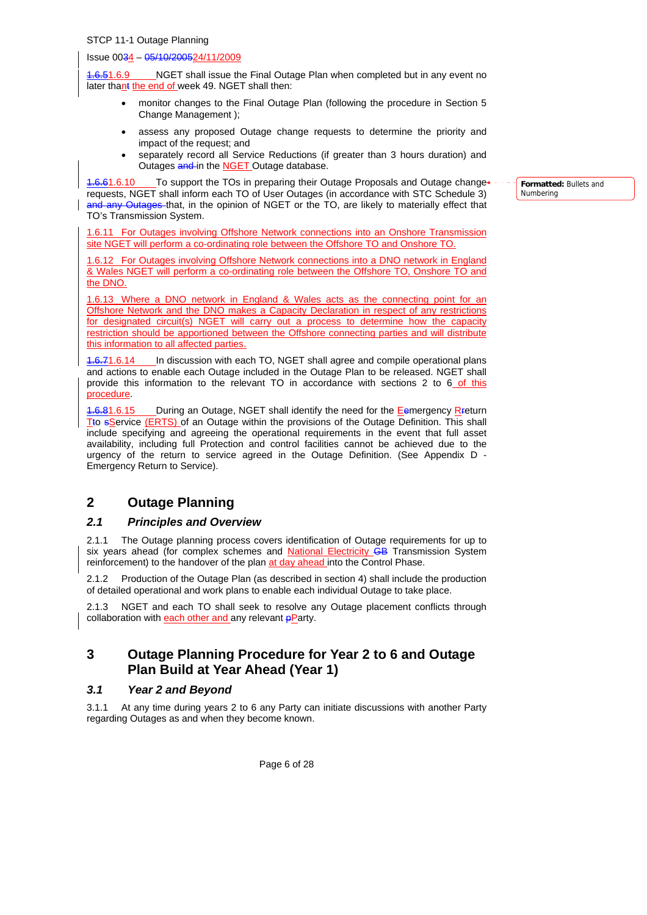#### Issue 0034 – 05/10/200524/11/2009

**1.6.51.6.9** NGET shall issue the Final Outage Plan when completed but in any event no later thant the end of week 49. NGET shall then:

- monitor changes to the Final Outage Plan (following the procedure in Section 5 Change Management );
- assess any proposed Outage change requests to determine the priority and impact of the request; and
- separately record all Service Reductions (if greater than 3 hours duration) and Outages and in the **NGET** Outage database.

1.6.61.6.10 To support the TOs in preparing their Outage Proposals and Outage change requests, NGET shall inform each TO of User Outages (in accordance with STC Schedule 3) and any Outages that, in the opinion of NGET or the TO, are likely to materially effect that TO's Transmission System.

1.6.11 For Outages involving Offshore Network connections into an Onshore Transmission site NGET will perform a co-ordinating role between the Offshore TO and Onshore TO.

1.6.12 For Outages involving Offshore Network connections into a DNO network in England & Wales NGET will perform a co-ordinating role between the Offshore TO, Onshore TO and the DNO.

1.6.13 Where a DNO network in England & Wales acts as the connecting point for an Offshore Network and the DNO makes a Capacity Declaration in respect of any restrictions for designated circuit(s) NGET will carry out a process to determine how the capacity restriction should be apportioned between the Offshore connecting parties and will distribute this information to all affected parties.

**1.6.71.6.14** In discussion with each TO, NGET shall agree and compile operational plans and actions to enable each Outage included in the Outage Plan to be released. NGET shall provide this information to the relevant TO in accordance with sections 2 to  $6$  of this procedure.

4.6.81.6.15 During an Outage, NGET shall identify the need for the Eemergency Rreturn Tto sService (ERTS) of an Outage within the provisions of the Outage Definition. This shall include specifying and agreeing the operational requirements in the event that full asset availability, including full Protection and control facilities cannot be achieved due to the urgency of the return to service agreed in the Outage Definition. (See Appendix D - Emergency Return to Service).

## **2 Outage Planning**

#### *2.1 Principles and Overview*

The Outage planning process covers identification of Outage requirements for up to six years ahead (for complex schemes and National Electricity GB Transmission System reinforcement) to the handover of the plan at day ahead into the Control Phase.

2.1.2 Production of the Outage Plan (as described in section 4) shall include the production of detailed operational and work plans to enable each individual Outage to take place.

2.1.3 NGET and each TO shall seek to resolve any Outage placement conflicts through collaboration with **each other and** any relevant  $p$ **Party.** 

## **3 Outage Planning Procedure for Year 2 to 6 and Outage Plan Build at Year Ahead (Year 1)**

#### *3.1 Year 2 and Beyond*

3.1.1 At any time during years 2 to 6 any Party can initiate discussions with another Party regarding Outages as and when they become known.

**Formatted:** Bullets and Numbering

Page 6 of 28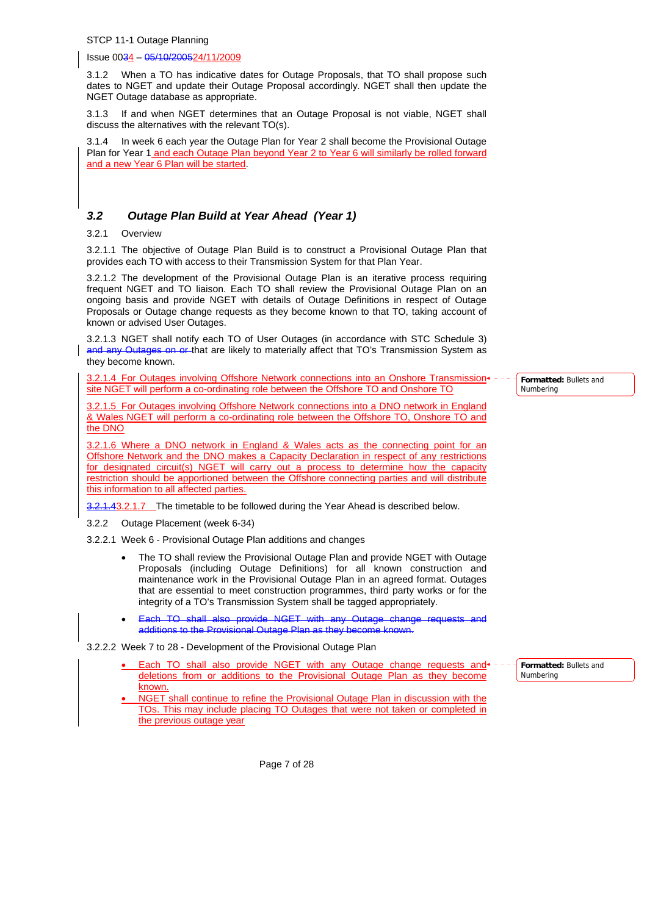Issue 0034 – 05/10/200524/11/2009

3.1.2 When a TO has indicative dates for Outage Proposals, that TO shall propose such dates to NGET and update their Outage Proposal accordingly. NGET shall then update the NGET Outage database as appropriate.

3.1.3 If and when NGET determines that an Outage Proposal is not viable, NGET shall discuss the alternatives with the relevant TO(s).

3.1.4 In week 6 each year the Outage Plan for Year 2 shall become the Provisional Outage Plan for Year 1 and each Outage Plan beyond Year 2 to Year 6 will similarly be rolled forward and a new Year 6 Plan will be started.

## *3.2 Outage Plan Build at Year Ahead (Year 1)*

3.2.1 Overview

3.2.1.1 The objective of Outage Plan Build is to construct a Provisional Outage Plan that provides each TO with access to their Transmission System for that Plan Year.

3.2.1.2 The development of the Provisional Outage Plan is an iterative process requiring frequent NGET and TO liaison. Each TO shall review the Provisional Outage Plan on an ongoing basis and provide NGET with details of Outage Definitions in respect of Outage Proposals or Outage change requests as they become known to that TO, taking account of known or advised User Outages.

3.2.1.3 NGET shall notify each TO of User Outages (in accordance with STC Schedule 3) and any Outages on or that are likely to materially affect that TO's Transmission System as they become known.

3.2.1.4 For Outages involving Offshore Network connections into an Onshore Transmission+ site NGET will perform a co-ordinating role between the Offshore TO and Onshore TO

3.2.1.5 For Outages involving Offshore Network connections into a DNO network in England & Wales NGET will perform a co-ordinating role between the Offshore TO, Onshore TO and the DNO

3.2.1.6 Where a DNO network in England & Wales acts as the connecting point for an Offshore Network and the DNO makes a Capacity Declaration in respect of any restrictions for designated circuit(s) NGET will carry out a process to determine how the capacity restriction should be apportioned between the Offshore connecting parties and will distribute this information to all affected parties.

3.2.1.43.2.1.7 The timetable to be followed during the Year Ahead is described below.

3.2.2 Outage Placement (week 6-34)

3.2.2.1 Week 6 - Provisional Outage Plan additions and changes

- The TO shall review the Provisional Outage Plan and provide NGET with Outage Proposals (including Outage Definitions) for all known construction and maintenance work in the Provisional Outage Plan in an agreed format. Outages that are essential to meet construction programmes, third party works or for the integrity of a TO's Transmission System shall be tagged appropriately.
- Each TO shall also provide NGET with any Outage change requests and additions to the Provisional Outage Plan as they become known.

3.2.2.2 Week 7 to 28 - Development of the Provisional Outage Plan

- Each TO shall also provide NGET with any Outage change requests and  $\star$ deletions from or additions to the Provisional Outage Plan as they become known.
- NGET shall continue to refine the Provisional Outage Plan in discussion with the TOs. This may include placing TO Outages that were not taken or completed in the previous outage year

**Formatted:** Bullets and **Numbering** 

**Formatted:** Bullets and Numbering

Page 7 of 28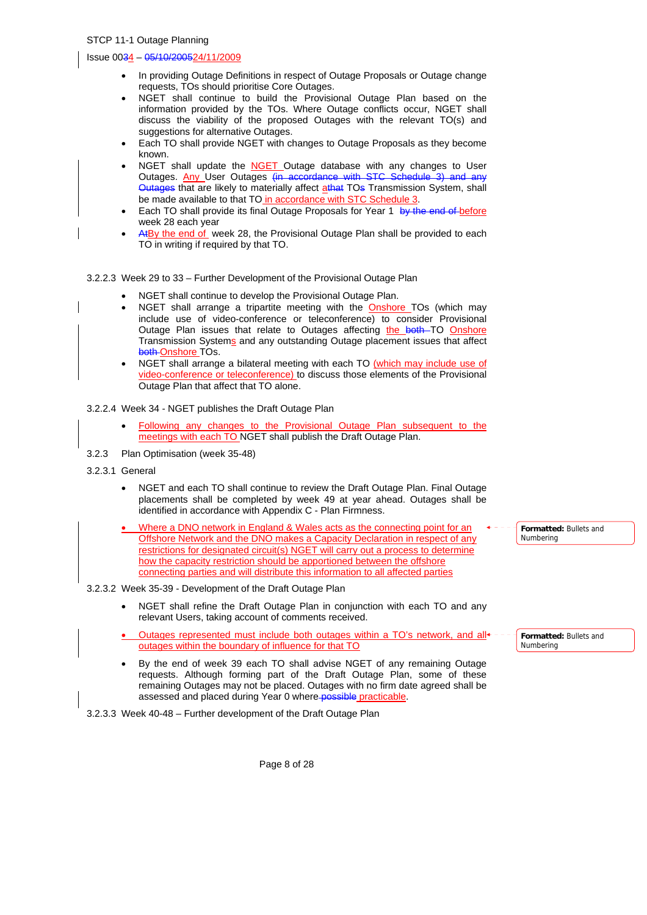#### Issue 0034 – 05/10/200524/11/2009

- In providing Outage Definitions in respect of Outage Proposals or Outage change requests, TOs should prioritise Core Outages.
- NGET shall continue to build the Provisional Outage Plan based on the information provided by the TOs. Where Outage conflicts occur, NGET shall discuss the viability of the proposed Outages with the relevant TO(s) and suggestions for alternative Outages.
- Each TO shall provide NGET with changes to Outage Proposals as they become known.
- NGET shall update the **NGET** Outage database with any changes to User Outages. Any User Outages (in accordance with Outages that are likely to materially affect athat TOs Transmission System, shall be made available to that TO in accordance with STC Schedule 3.
- Each TO shall provide its final Outage Proposals for Year 1 by the end of before week 28 each year
- A<sup>t</sup>By the end of week 28, the Provisional Outage Plan shall be provided to each TO in writing if required by that TO.

3.2.2.3 Week 29 to 33 – Further Development of the Provisional Outage Plan

- NGET shall continue to develop the Provisional Outage Plan.
- NGET shall arrange a tripartite meeting with the Onshore TOs (which may include use of video-conference or teleconference) to consider Provisional Outage Plan issues that relate to Outages affecting the both TO Onshore Transmission Systems and any outstanding Outage placement issues that affect both Onshore TOs.
- NGET shall arrange a bilateral meeting with each TO (which may include use of video-conference or teleconference) to discuss those elements of the Provisional Outage Plan that affect that TO alone.

#### 3.2.2.4 Week 34 - NGET publishes the Draft Outage Plan

- Following any changes to the Provisional Outage Plan subsequent to the meetings with each TO NGET shall publish the Draft Outage Plan.
- 3.2.3 Plan Optimisation (week 35-48)
- 3.2.3.1 General
	- NGET and each TO shall continue to review the Draft Outage Plan. Final Outage placements shall be completed by week 49 at year ahead. Outages shall be identified in accordance with Appendix C - Plan Firmness.
	- Where a DNO network in England & Wales acts as the connecting point for an Offshore Network and the DNO makes a Capacity Declaration in respect of any restrictions for designated circuit(s) NGET will carry out a process to determine how the capacity restriction should be apportioned between the offshore connecting parties and will distribute this information to all affected parties
- 3.2.3.2 Week 35-39 Development of the Draft Outage Plan
	- NGET shall refine the Draft Outage Plan in conjunction with each TO and any relevant Users, taking account of comments received.
	- Outages represented must include both outages within a TO's network, and all outages within the boundary of influence for that TO
	- By the end of week 39 each TO shall advise NGET of any remaining Outage requests. Although forming part of the Draft Outage Plan, some of these remaining Outages may not be placed. Outages with no firm date agreed shall be assessed and placed during Year 0 where possible practicable.

3.2.3.3 Week 40-48 – Further development of the Draft Outage Plan

**Formatted:** Bullets and Numbering

**Formatted:** Bullets and Numbering

Page 8 of 28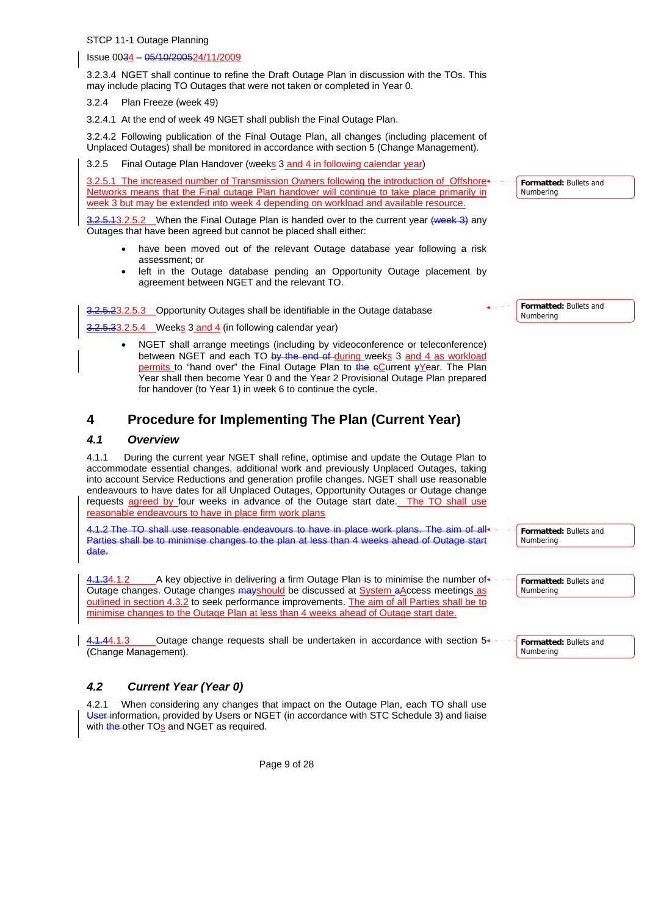Issue 0034 – 05/10/200524/11/2009

3.2.3.4 NGET shall continue to refine the Draft Outage Plan in discussion with the TOs. This may include placing TO Outages that were not taken or completed in Year 0.

3.2.4 Plan Freeze (week 49)

3.2.4.1 At the end of week 49 NGET shall publish the Final Outage Plan.

3.2.4.2 Following publication of the Final Outage Plan, all changes (including placement of Unplaced Outages) shall be monitored in accordance with section 5 (Change Management).

3.2.5 Final Outage Plan Handover (weeks 3 and 4 in following calendar year)

3.2.5.1 The increased number of Transmission Owners following the introduction of Offshore-Networks means that the Final outage Plan handover will continue to take place primarily in week 3 but may be extended into week 4 depending on workload and available resource.

3.2.5.13.2.5.2 When the Final Outage Plan is handed over to the current year (week 3) any Outages that have been agreed but cannot be placed shall either:

- have been moved out of the relevant Outage database year following a risk assessment; or
- left in the Outage database pending an Opportunity Outage placement by agreement between NGET and the relevant TO.

3.2.5.23.2.5.3 Opportunity Outages shall be identifiable in the Outage database

 $2.5.33.2.5.4$  Weeks 3 and 4 (in following calendar year)

• NGET shall arrange meetings (including by videoconference or teleconference) between NGET and each TO by the end of during weeks 3 and 4 as workload permits to "hand over" the Final Outage Plan to the eCurrent yYear. The Plan Year shall then become Year 0 and the Year 2 Provisional Outage Plan prepared for handover (to Year 1) in week 6 to continue the cycle.

# **4 Procedure for Implementing The Plan (Current Year)**

## *4.1 Overview*

4.1.1 During the current year NGET shall refine, optimise and update the Outage Plan to accommodate essential changes, additional work and previously Unplaced Outages, taking into account Service Reductions and generation profile changes. NGET shall use reasonable endeavours to have dates for all Unplaced Outages, Opportunity Outages or Outage change requests agreed by four weeks in advance of the Outage start date. The TO shall use reasonable endeavours to have in place firm work plans

4.1.2 The TO shall use reasonable endeavours to have in place work plans. The aim of all+ Parties shall be to minimise changes to the plan at less than 4 weeks ahead of Outage start date.

 $+1.34.1.2$  A key objective in delivering a firm Outage Plan is to minimise the number of Outage changes. Outage changes mayshould be discussed at System aAccess meetings as outlined in section 4.3.2 to seek performance improvements. The aim of all Parties shall be to minimise changes to the Outage Plan at less than 4 weeks ahead of Outage start date.

4.1.44.1.3 Outage change requests shall be undertaken in accordance with section  $5^*$ (Change Management).

## *4.2 Current Year (Year 0)*

4.2.1 When considering any changes that impact on the Outage Plan, each TO shall use User-information, provided by Users or NGET (in accordance with STC Schedule 3) and liaise with  $t$ <sub>he</sub>-other TO<sub>S</sub> and NGET as required.

Page 9 of 28

**Formatted:** Bullets and Numbering

**Formatted:** Bullets and Numbering

**Formatted:** Bullets and Numbering

**Formatted:** Bullets and Numbering

**Formatted:** Bullets and Numbering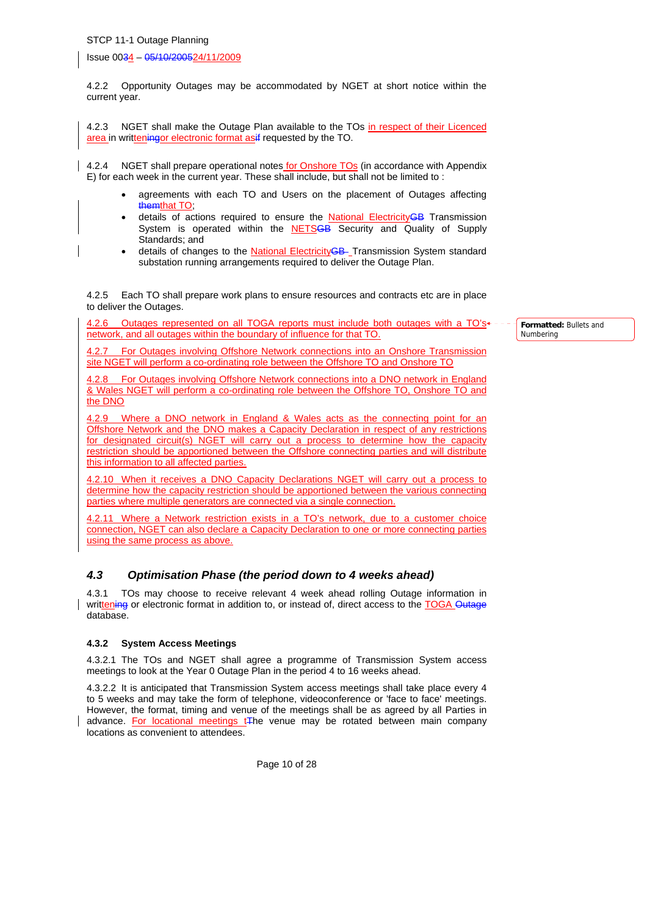Issue 0034 – 05/10/200524/11/2009

4.2.2 Opportunity Outages may be accommodated by NGET at short notice within the current year.

4.2.3 NGET shall make the Outage Plan available to the TOs in respect of their Licenced area in writteningor electronic format asif requested by the TO.

4.2.4 NGET shall prepare operational notes for Onshore TOs (in accordance with Appendix E) for each week in the current year. These shall include, but shall not be limited to :

- agreements with each TO and Users on the placement of Outages affecting themthat TO
- details of actions required to ensure the **National ElectricityGB** Transmission System is operated within the **NETSGB** Security and Quality of Supply Standards; and
- details of changes to the National ElectricityGB- Transmission System standard substation running arrangements required to deliver the Outage Plan.

4.2.5 Each TO shall prepare work plans to ensure resources and contracts etc are in place to deliver the Outages.

4.2.6 Outages represented on all TOGA reports must include both outages with a TO's network, and all outages within the boundary of influence for that TO.

4.2.7 For Outages involving Offshore Network connections into an Onshore Transmission site NGET will perform a co-ordinating role between the Offshore TO and Onshore TO

4.2.8 For Outages involving Offshore Network connections into a DNO network in England & Wales NGET will perform a co-ordinating role between the Offshore TO, Onshore TO and the DNO

4.2.9 Where a DNO network in England & Wales acts as the connecting point for an Offshore Network and the DNO makes a Capacity Declaration in respect of any restrictions for designated circuit(s) NGET will carry out a process to determine how the capacity restriction should be apportioned between the Offshore connecting parties and will distribute this information to all affected parties.

4.2.10 When it receives a DNO Capacity Declarations NGET will carry out a process to determine how the capacity restriction should be apportioned between the various connecting parties where multiple generators are connected via a single connection.

4.2.11 Where a Network restriction exists in a TO's network, due to a customer choice connection, NGET can also declare a Capacity Declaration to one or more connecting parties using the same process as above.

## *4.3 Optimisation Phase (the period down to 4 weeks ahead)*

4.3.1 TOs may choose to receive relevant 4 week ahead rolling Outage information in writtening or electronic format in addition to, or instead of, direct access to the TOGA Outage database.

#### **4.3.2 System Access Meetings**

4.3.2.1 The TOs and NGET shall agree a programme of Transmission System access meetings to look at the Year 0 Outage Plan in the period 4 to 16 weeks ahead.

4.3.2.2 It is anticipated that Transmission System access meetings shall take place every 4 to 5 weeks and may take the form of telephone, videoconference or 'face to face' meetings. However, the format, timing and venue of the meetings shall be as agreed by all Parties in advance. For locational meetings tThe venue may be rotated between main company locations as convenient to attendees.

**Formatted:** Bullets and Numbering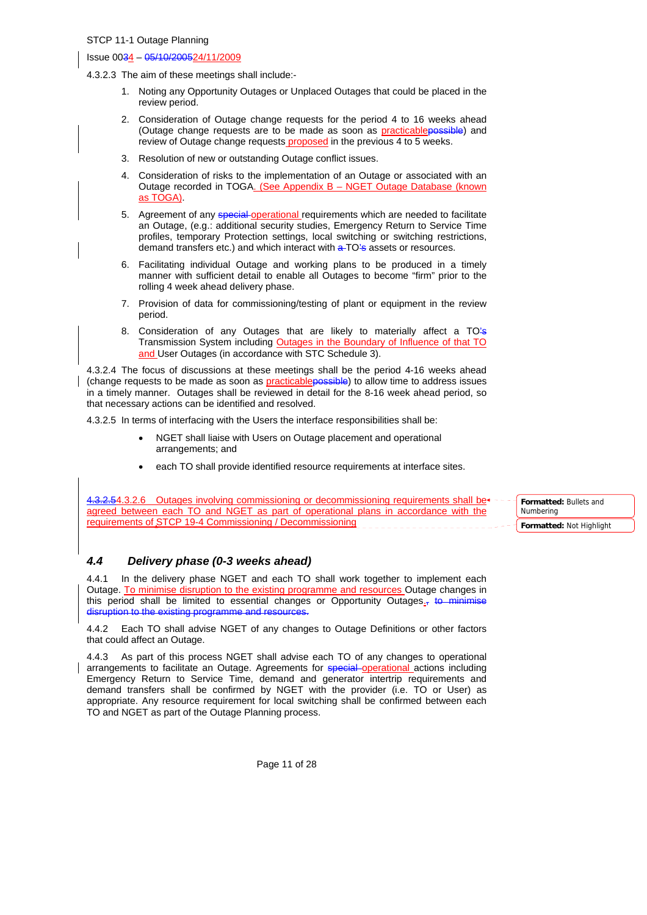#### Issue 0034 – 05/10/200524/11/2009

4.3.2.3 The aim of these meetings shall include:-

- 1. Noting any Opportunity Outages or Unplaced Outages that could be placed in the review period.
- 2. Consideration of Outage change requests for the period 4 to 16 weeks ahead (Outage change requests are to be made as soon as practicablepossible) and review of Outage change requests proposed in the previous 4 to 5 weeks.
- 3. Resolution of new or outstanding Outage conflict issues.
- 4. Consideration of risks to the implementation of an Outage or associated with an Outage recorded in TOGA. (See Appendix B – NGET Outage Database (known as TOGA).
- 5. Agreement of any special-operational requirements which are needed to facilitate an Outage, (e.g.: additional security studies, Emergency Return to Service Time profiles, temporary Protection settings, local switching or switching restrictions, demand transfers etc.) and which interact with a TO's assets or resources.
- 6. Facilitating individual Outage and working plans to be produced in a timely manner with sufficient detail to enable all Outages to become "firm" prior to the rolling 4 week ahead delivery phase.
- 7. Provision of data for commissioning/testing of plant or equipment in the review period.
- 8. Consideration of any Outages that are likely to materially affect a TO's Transmission System including Outages in the Boundary of Influence of that TO and User Outages (in accordance with STC Schedule 3).

4.3.2.4 The focus of discussions at these meetings shall be the period 4-16 weeks ahead (change requests to be made as soon as practicablepossible) to allow time to address issues in a timely manner. Outages shall be reviewed in detail for the 8-16 week ahead period, so that necessary actions can be identified and resolved.

4.3.2.5 In terms of interfacing with the Users the interface responsibilities shall be:

- NGET shall liaise with Users on Outage placement and operational arrangements; and
- each TO shall provide identified resource requirements at interface sites.

4.3.2.54.3.2.6 Outages involving commissioning or decommissioning requirements shall be  $\leftarrow$ agreed between each TO and NGET as part of operational plans in accordance with the requirements of STCP 19-4 Commissioning / Decommissioning **Formatted:** Bullets and Numbering **Formatted:** Not Highlight

## *4.4 Delivery phase (0-3 weeks ahead)*

4.4.1 In the delivery phase NGET and each TO shall work together to implement each Outage. To minimise disruption to the existing programme and resources Outage changes in this period shall be limited to essential changes or Opportunity Outages. $\frac{1}{2}$  to minimise disruption to the existing programme and re

4.4.2 Each TO shall advise NGET of any changes to Outage Definitions or other factors that could affect an Outage.

4.4.3 As part of this process NGET shall advise each TO of any changes to operational arrangements to facilitate an Outage. Agreements for special operational actions including Emergency Return to Service Time, demand and generator intertrip requirements and demand transfers shall be confirmed by NGET with the provider (i.e. TO or User) as appropriate. Any resource requirement for local switching shall be confirmed between each TO and NGET as part of the Outage Planning process.

Page 11 of 28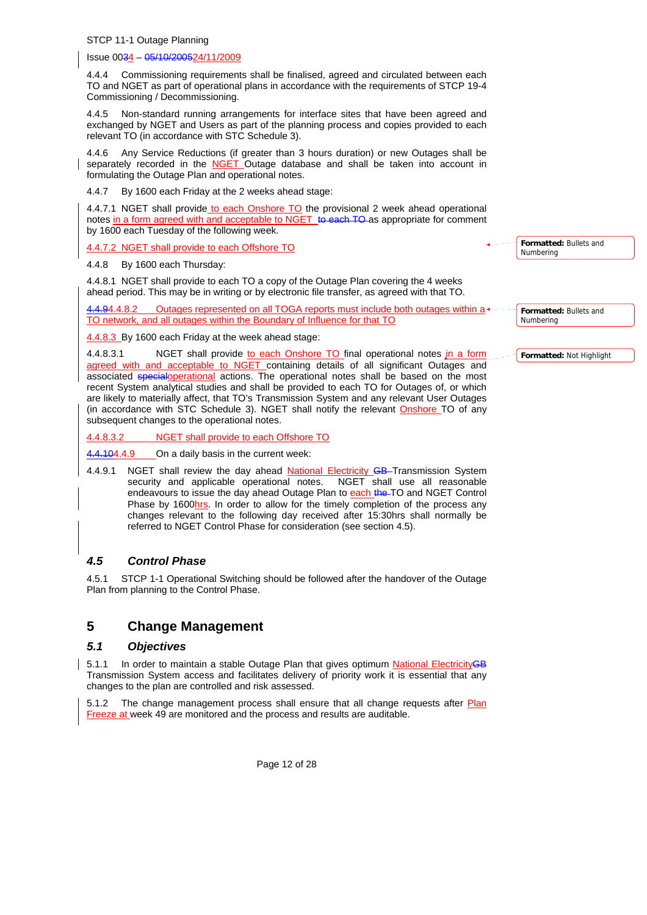#### Issue 0034 – 05/10/200524/11/2009

4.4.4 Commissioning requirements shall be finalised, agreed and circulated between each TO and NGET as part of operational plans in accordance with the requirements of STCP 19-4 Commissioning / Decommissioning.

4.4.5 Non-standard running arrangements for interface sites that have been agreed and exchanged by NGET and Users as part of the planning process and copies provided to each relevant TO (in accordance with STC Schedule 3).

4.4.6 Any Service Reductions (if greater than 3 hours duration) or new Outages shall be separately recorded in the NGET Outage database and shall be taken into account in formulating the Outage Plan and operational notes.

4.4.7 By 1600 each Friday at the 2 weeks ahead stage:

4.4.7.1 NGET shall provide to each Onshore TO the provisional 2 week ahead operational notes in a form agreed with and acceptable to NGET to each TO as appropriate for comment by 1600 each Tuesday of the following week.

4.4.7.2 NGET shall provide to each Offshore TO

4.4.8 By 1600 each Thursday:

4.4.8.1 NGET shall provide to each TO a copy of the Outage Plan covering the 4 weeks ahead period. This may be in writing or by electronic file transfer, as agreed with that TO.

Outages represented on all TOGA reports must include both outages within a TO network, and all outages within the Boundary of Influence for that TO

4.4.8.3 By 1600 each Friday at the week ahead stage:

4.4.8.3.1 NGET shall provide to each Onshore TO final operational notes in a form agreed with and acceptable to NGET containing details of all significant Outages and associated specialoperational actions. The operational notes shall be based on the most recent System analytical studies and shall be provided to each TO for Outages of, or which are likely to materially affect, that TO's Transmission System and any relevant User Outages (in accordance with STC Schedule 3). NGET shall notify the relevant Onshore TO of any

subsequent changes to the operational notes.

4.4.8.3.2 NGET shall provide to each Offshore TO

4.4.104.4.9 On a daily basis in the current week:

4.4.9.1 NGET shall review the day ahead National Electricity GB Transmission System security and applicable operational notes. NGET shall use all reasonable endeavours to issue the day ahead Outage Plan to each the TO and NGET Control Phase by 1600hrs. In order to allow for the timely completion of the process any changes relevant to the following day received after 15:30hrs shall normally be referred to NGET Control Phase for consideration (see section 4.5).

## *4.5 Control Phase*

4.5.1 STCP 1-1 Operational Switching should be followed after the handover of the Outage Plan from planning to the Control Phase.

## **5 Change Management**

#### *5.1 Objectives*

5.1.1 In order to maintain a stable Outage Plan that gives optimum National ElectricityGB Transmission System access and facilitates delivery of priority work it is essential that any changes to the plan are controlled and risk assessed.

5.1.2 The change management process shall ensure that all change requests after Plan Freeze at week 49 are monitored and the process and results are auditable.

**Formatted:** Bullets and Numbering

**Formatted:** Bullets and Numbering

**Formatted:** Not Highlight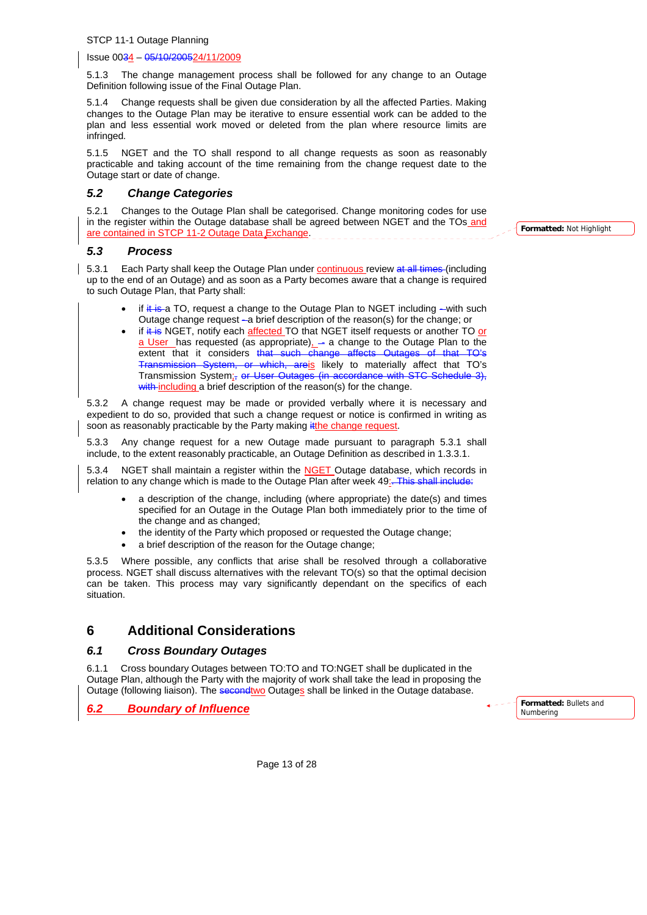Issue 0034 – 05/10/200524/11/2009

5.1.3 The change management process shall be followed for any change to an Outage Definition following issue of the Final Outage Plan.

5.1.4 Change requests shall be given due consideration by all the affected Parties. Making changes to the Outage Plan may be iterative to ensure essential work can be added to the plan and less essential work moved or deleted from the plan where resource limits are infringed*.*

5.1.5 NGET and the TO shall respond to all change requests as soon as reasonably practicable and taking account of the time remaining from the change request date to the Outage start or date of change.

## *5.2 Change Categories*

5.2.1 Changes to the Outage Plan shall be categorised. Change monitoring codes for use in the register within the Outage database shall be agreed between NGET and the TOs and are contained in STCP 11-2 Outage Data Exchange.

*5.3 Process* 

5.3.1 Each Party shall keep the Outage Plan under continuous review at all times (including up to the end of an Outage) and as soon as a Party becomes aware that a change is required to such Outage Plan, that Party shall:

- if  $i$ t is a TO, request a change to the Outage Plan to NGET including  $-i$  with such Outage change request - a brief description of the reason(s) for the change; or
- if  $#$  is NGET, notify each affected TO that NGET itself requests or another TO or a User has requested (as appropriate) - a change to the Outage Plan to the extent that it considers that such change affects Outages Transmission System, or which, areis likely to materially affect that TO's Transmission System;, or User Outages (in accordance with STC Schedule 3), with including a brief description of the reason(s) for the change.

5.3.2 A change request may be made or provided verbally where it is necessary and expedient to do so, provided that such a change request or notice is confirmed in writing as soon as reasonably practicable by the Party making it the change request.

5.3.3 Any change request for a new Outage made pursuant to paragraph 5.3.1 shall include, to the extent reasonably practicable, an Outage Definition as described in 1.3.3.1.

5.3.4 NGET shall maintain a register within the NGET Outage database, which records in relation to any change which is made to the Outage Plan after week 49:. This shall include:

- a description of the change, including (where appropriate) the date(s) and times specified for an Outage in the Outage Plan both immediately prior to the time of the change and as changed;
- the identity of the Party which proposed or requested the Outage change;
- a brief description of the reason for the Outage change;

5.3.5 Where possible, any conflicts that arise shall be resolved through a collaborative process. NGET shall discuss alternatives with the relevant TO(s) so that the optimal decision can be taken. This process may vary significantly dependant on the specifics of each situation.

## **6 Additional Considerations**

## *6.1 Cross Boundary Outages*

6.1.1 Cross boundary Outages between TO:TO and TO:NGET shall be duplicated in the Outage Plan, although the Party with the majority of work shall take the lead in proposing the Outage (following liaison). The secondtwo Outages shall be linked in the Outage database.

*6.2 Boundary of Influence*

**Formatted:** Bullets and Numbering

Page 13 of 28

**Formatted:** Not Highlight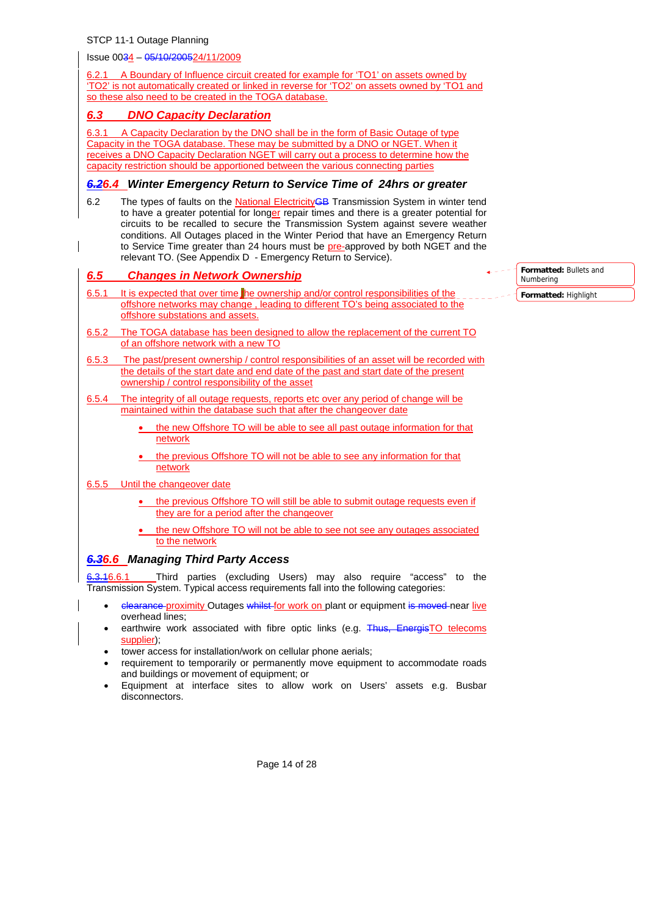Issue 0034 – 05/10/200524/11/2009

6.2.1 A Boundary of Influence circuit created for example for 'TO1' on assets owned by 'TO2' is not automatically created or linked in reverse for 'TO2' on assets owned by 'TO1 and so these also need to be created in the TOGA database.

## *6.3 DNO Capacity Declaration*

6.3.1 A Capacity Declaration by the DNO shall be in the form of Basic Outage of type Capacity in the TOGA database. These may be submitted by a DNO or NGET. When it receives a DNO Capacity Declaration NGET will carry out a process to determine how the capacity restriction should be apportioned between the various connecting parties

## *6.26.4 Winter Emergency Return to Service Time of 24hrs or greater*

6.2 The types of faults on the National ElectricityGB Transmission System in winter tend to have a greater potential for longer repair times and there is a greater potential for circuits to be recalled to secure the Transmission System against severe weather conditions. All Outages placed in the Winter Period that have an Emergency Return to Service Time greater than 24 hours must be pre-approved by both NGET and the relevant TO. (See Appendix D - Emergency Return to Service).

## *6.5 Changes in Network Ownership*

- 6.5.1 It is expected that over time the ownership and/or control responsibilities of the offshore networks may change , leading to different TO's being associated to the offshore substations and assets.
- 6.5.2 The TOGA database has been designed to allow the replacement of the current TO of an offshore network with a new TO
- 6.5.3 The past/present ownership / control responsibilities of an asset will be recorded with the details of the start date and end date of the past and start date of the present ownership / control responsibility of the asset
- 6.5.4 The integrity of all outage requests, reports etc over any period of change will be maintained within the database such that after the changeover date
	- the new Offshore TO will be able to see all past outage information for that network
	- the previous Offshore TO will not be able to see any information for that network
- 6.5.5 Until the changeover date
	- the previous Offshore TO will still be able to submit outage requests even if they are for a period after the changeover
	- the new Offshore TO will not be able to see not see any outages associated to the network

## *6.36.6 Managing Third Party Access*

3.16.6.1 Third parties (excluding Users) may also require "access" to the Transmission System. Typical access requirements fall into the following categories:

- elearance proximity Outages whilst for work on plant or equipment is moved near live overhead lines;
- earthwire work associated with fibre optic links (e.g. Thus, EnergisTO telecoms supplier);
- tower access for installation/work on cellular phone aerials;
- requirement to temporarily or permanently move equipment to accommodate roads and buildings or movement of equipment; or
- Equipment at interface sites to allow work on Users' assets e.g. Busbar disconnectors.

| $ -$ <b>Formatted:</b> Bullets and<br>Numbering |
|-------------------------------------------------|
| -- Formatted: Highlight                         |

Page 14 of 28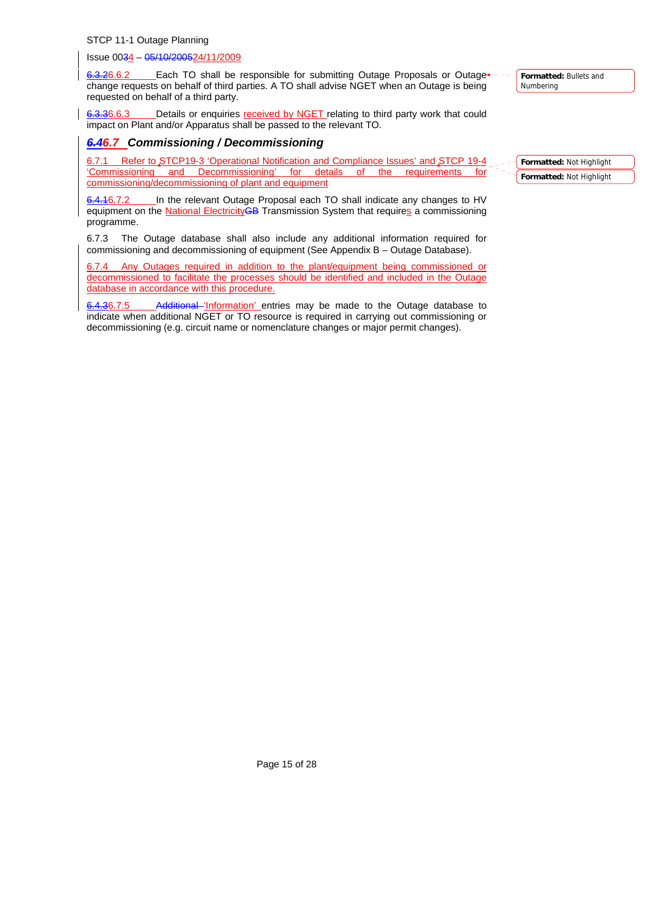Issue 0034 – 05/10/200524/11/2009

6.3.26.6.2 Each TO shall be responsible for submitting Outage Proposals or Outage change requests on behalf of third parties. A TO shall advise NGET when an Outage is being requested on behalf of a third party.

6.3.36.6.3 Details or enquiries received by NGET relating to third party work that could impact on Plant and/or Apparatus shall be passed to the relevant TO.

## *6.46.7 Commissioning / Decommissioning*

6.7.1 Refer to STCP19-3 'Operational Notification and Compliance Issues' and STCP 19-4 'Commissioning and Decommissioning' for details of the requirements for commissioning/decommissioning of plant and equipment

6.4.16.7.2 In the relevant Outage Proposal each TO shall indicate any changes to HV equipment on the National ElectricityGB Transmission System that requires a commissioning programme.

6.7.3 The Outage database shall also include any additional information required for commissioning and decommissioning of equipment (See Appendix B – Outage Database).

6.7.4 Any Outages required in addition to the plant/equipment being commissioned or decommissioned to facilitate the processes should be identified and included in the Outage database in accordance with this procedure.

6.4.36.7.5 Additional 'Information' entries may be made to the Outage database to indicate when additional NGET or TO resource is required in carrying out commissioning or decommissioning (e.g. circuit name or nomenclature changes or major permit changes).

**Formatted:** Bullets and Numbering

**Formatted:** Not Highlight **Formatted:** Not Highlight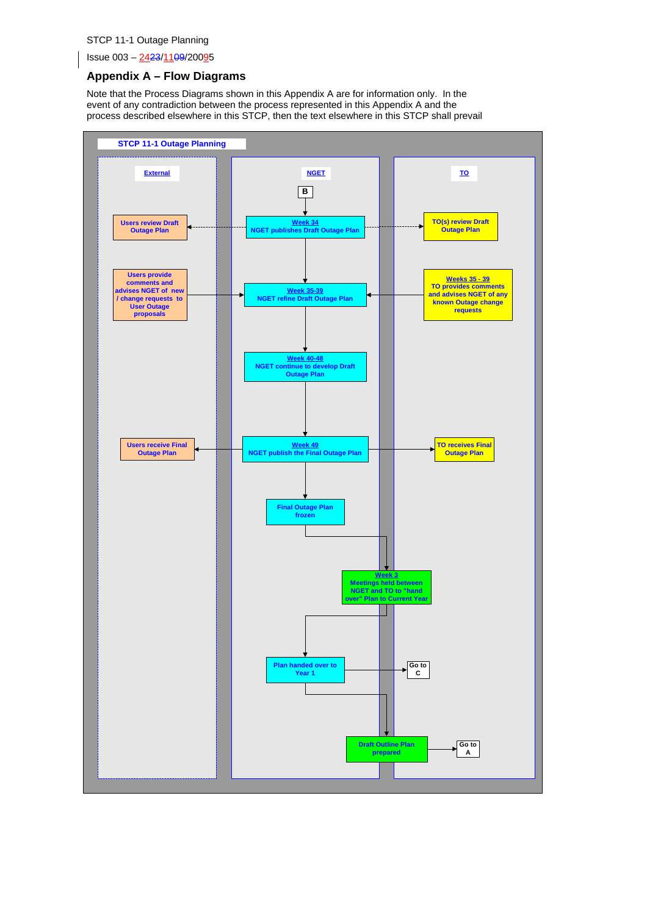Issue 003 – 2423/1109/20095

## **Appendix A – Flow Diagrams**

Note that the Process Diagrams shown in this Appendix A are for information only. In the event of any contradiction between the process represented in this Appendix A and the process described elsewhere in this STCP, then the text elsewhere in this STCP shall prevail

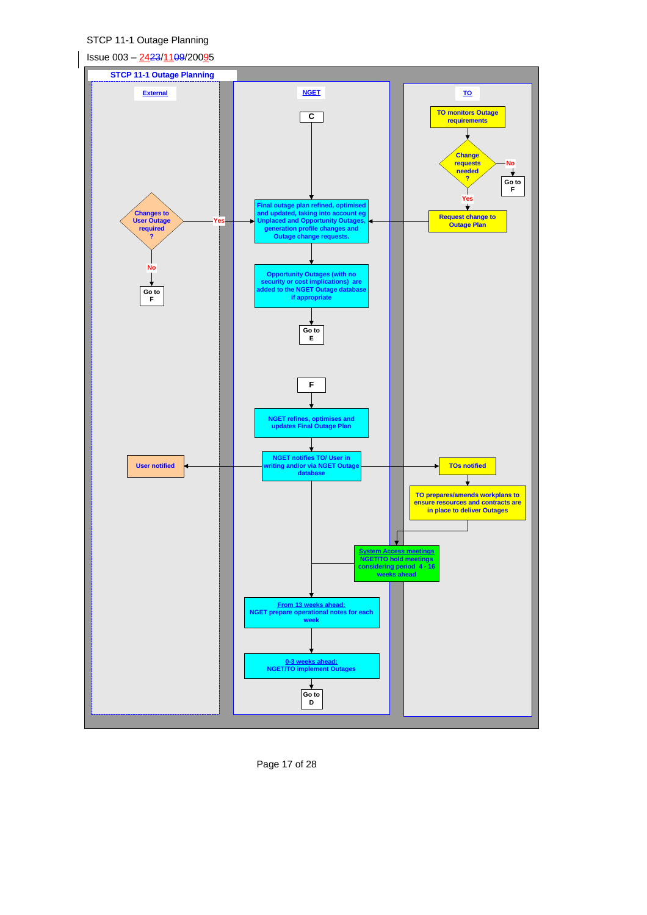

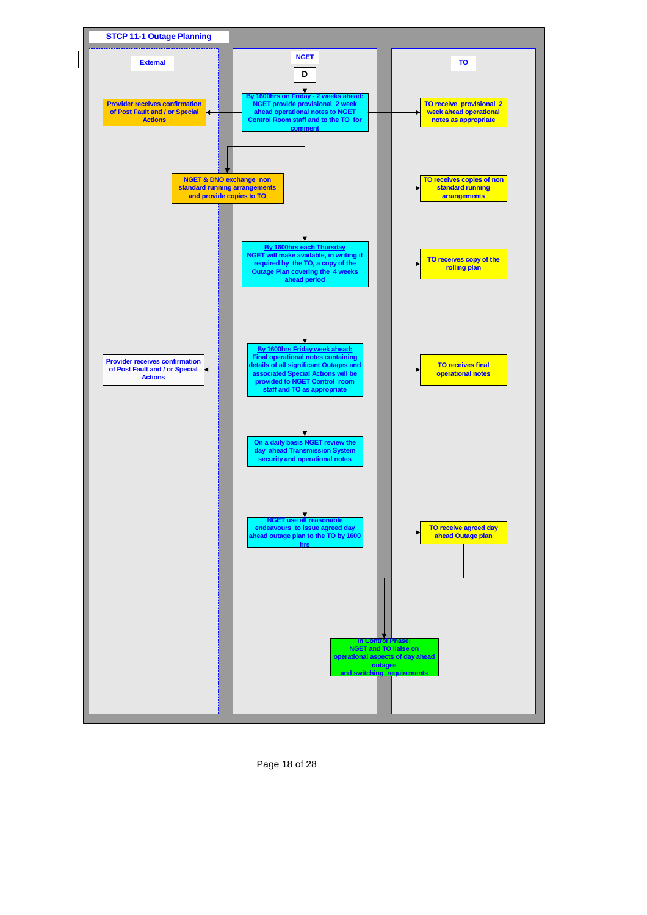

Page 18 of 28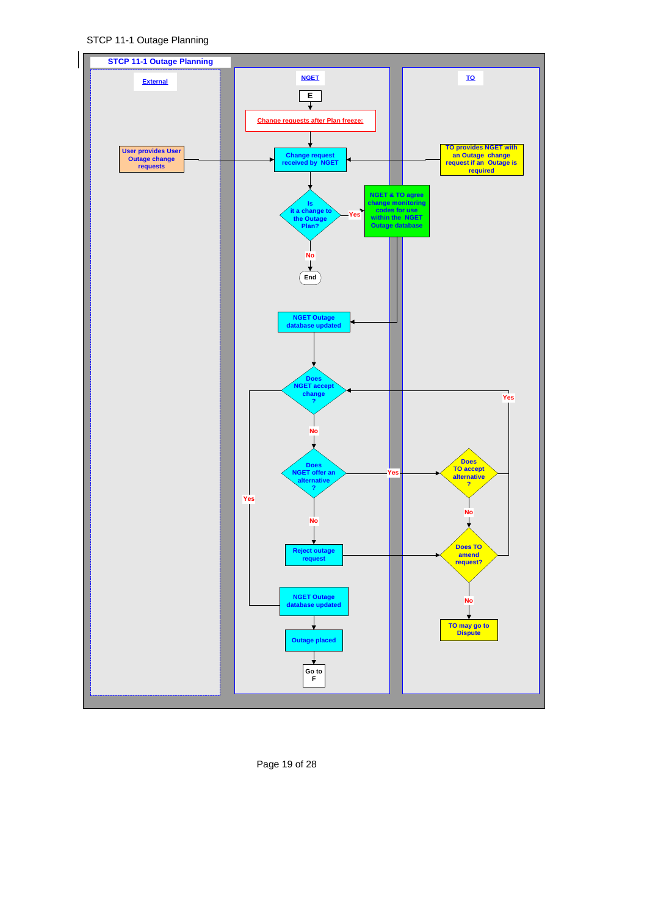STCP 11-1 Outage Planning



Page 19 of 28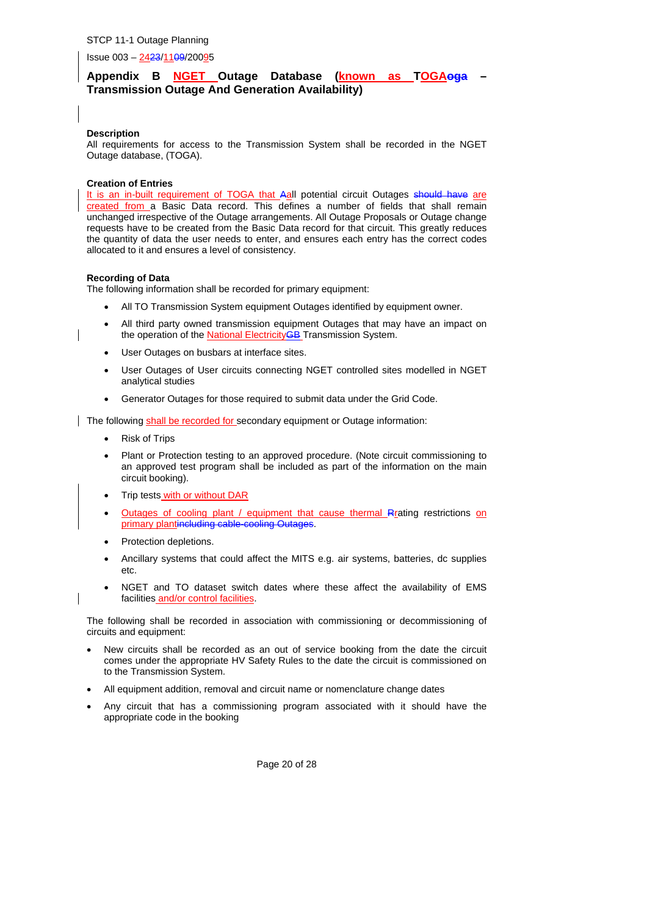Issue 003 – 2423/1109/20095

## Appendix B NGET Outage Database (known as TOGAoga **Transmission Outage And Generation Availability)**

#### **Description**

All requirements for access to the Transmission System shall be recorded in the NGET Outage database, (TOGA).

#### **Creation of Entries**

It is an in-built requirement of TOGA that Aall potential circuit Outages should have are created from a Basic Data record. This defines a number of fields that shall remain unchanged irrespective of the Outage arrangements. All Outage Proposals or Outage change requests have to be created from the Basic Data record for that circuit. This greatly reduces the quantity of data the user needs to enter, and ensures each entry has the correct codes allocated to it and ensures a level of consistency.

#### **Recording of Data**

The following information shall be recorded for primary equipment:

- All TO Transmission System equipment Outages identified by equipment owner.
- All third party owned transmission equipment Outages that may have an impact on the operation of the National Electricity **GB** Transmission System.
- User Outages on busbars at interface sites.
- User Outages of User circuits connecting NGET controlled sites modelled in NGET analytical studies
- Generator Outages for those required to submit data under the Grid Code.

The following shall be recorded for secondary equipment or Outage information:

- Risk of Trips
- Plant or Protection testing to an approved procedure. (Note circuit commissioning to an approved test program shall be included as part of the information on the main circuit booking).
- Trip tests with or without DAR
- Outages of cooling plant / equipment that cause thermal Rrating restrictions on primary plantincluding cable-cooling Outages.
- Protection depletions.
- Ancillary systems that could affect the MITS e.g. air systems, batteries, dc supplies etc.
- NGET and TO dataset switch dates where these affect the availability of EMS facilities and/or control facilities.

The following shall be recorded in association with commissioning or decommissioning of circuits and equipment:

- New circuits shall be recorded as an out of service booking from the date the circuit comes under the appropriate HV Safety Rules to the date the circuit is commissioned on to the Transmission System.
- All equipment addition, removal and circuit name or nomenclature change dates
- Any circuit that has a commissioning program associated with it should have the appropriate code in the booking

Page 20 of 28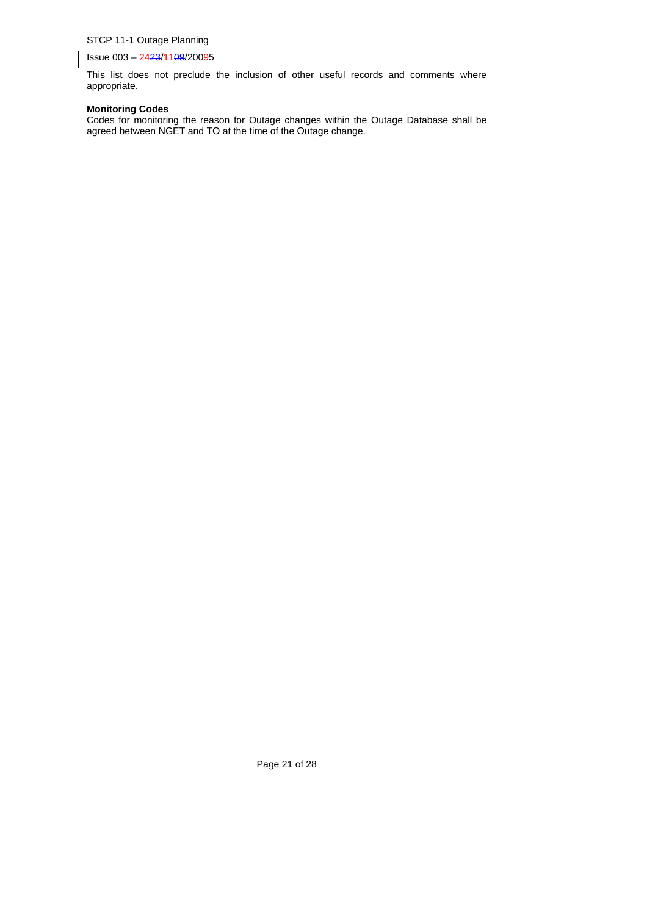Issue 003 – 2423/1109/20095

This list does not preclude the inclusion of other useful records and comments where appropriate.

#### **Monitoring Codes**

Codes for monitoring the reason for Outage changes within the Outage Database shall be agreed between NGET and TO at the time of the Outage change.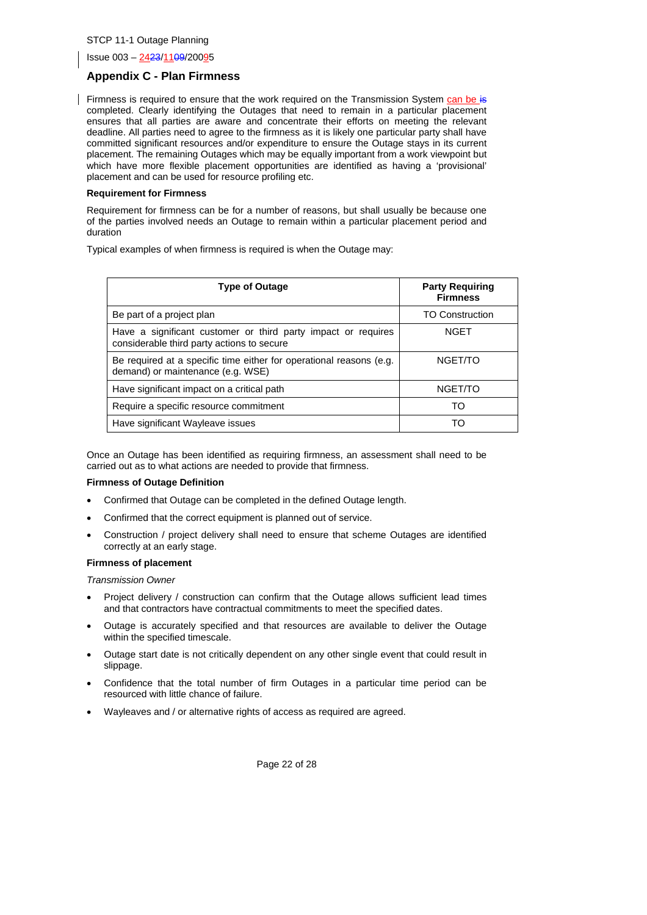Issue 003 – 2423/1109/20095

#### **Appendix C - Plan Firmness**

Firmness is required to ensure that the work required on the Transmission System can be is completed. Clearly identifying the Outages that need to remain in a particular placement ensures that all parties are aware and concentrate their efforts on meeting the relevant deadline. All parties need to agree to the firmness as it is likely one particular party shall have committed significant resources and/or expenditure to ensure the Outage stays in its current placement. The remaining Outages which may be equally important from a work viewpoint but which have more flexible placement opportunities are identified as having a 'provisional' placement and can be used for resource profiling etc.

#### **Requirement for Firmness**

Requirement for firmness can be for a number of reasons, but shall usually be because one of the parties involved needs an Outage to remain within a particular placement period and duration

Typical examples of when firmness is required is when the Outage may:

| <b>Type of Outage</b>                                                                                       | <b>Party Requiring</b><br><b>Firmness</b> |
|-------------------------------------------------------------------------------------------------------------|-------------------------------------------|
| Be part of a project plan                                                                                   | <b>TO Construction</b>                    |
| Have a significant customer or third party impact or requires<br>considerable third party actions to secure | <b>NGET</b>                               |
| Be required at a specific time either for operational reasons (e.g.<br>demand) or maintenance (e.g. WSE)    | NGET/TO                                   |
| Have significant impact on a critical path                                                                  | NGET/TO                                   |
| Require a specific resource commitment                                                                      | TO                                        |
| Have significant Wayleave issues                                                                            | TΟ                                        |

Once an Outage has been identified as requiring firmness, an assessment shall need to be carried out as to what actions are needed to provide that firmness.

#### **Firmness of Outage Definition**

- Confirmed that Outage can be completed in the defined Outage length.
- Confirmed that the correct equipment is planned out of service.
- Construction / project delivery shall need to ensure that scheme Outages are identified correctly at an early stage.

#### **Firmness of placement**

*Transmission Owner*

- Project delivery / construction can confirm that the Outage allows sufficient lead times and that contractors have contractual commitments to meet the specified dates.
- Outage is accurately specified and that resources are available to deliver the Outage within the specified timescale.
- Outage start date is not critically dependent on any other single event that could result in slippage.
- Confidence that the total number of firm Outages in a particular time period can be resourced with little chance of failure.
- Wayleaves and / or alternative rights of access as required are agreed.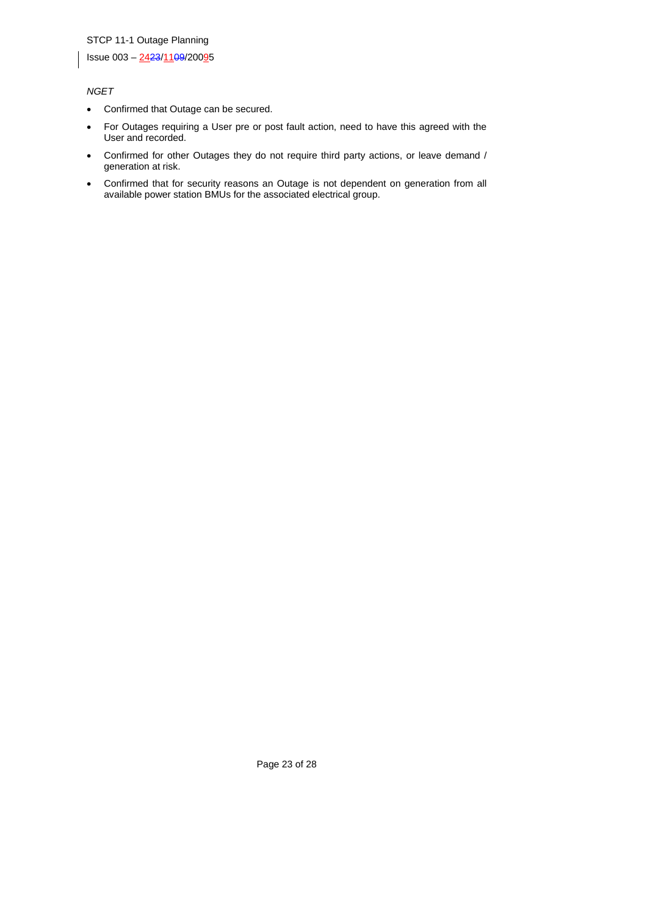Issue 003 – 2423/1109/20095

## *NGET*

- Confirmed that Outage can be secured.
- For Outages requiring a User pre or post fault action, need to have this agreed with the User and recorded.
- Confirmed for other Outages they do not require third party actions, or leave demand / generation at risk.
- Confirmed that for security reasons an Outage is not dependent on generation from all available power station BMUs for the associated electrical group.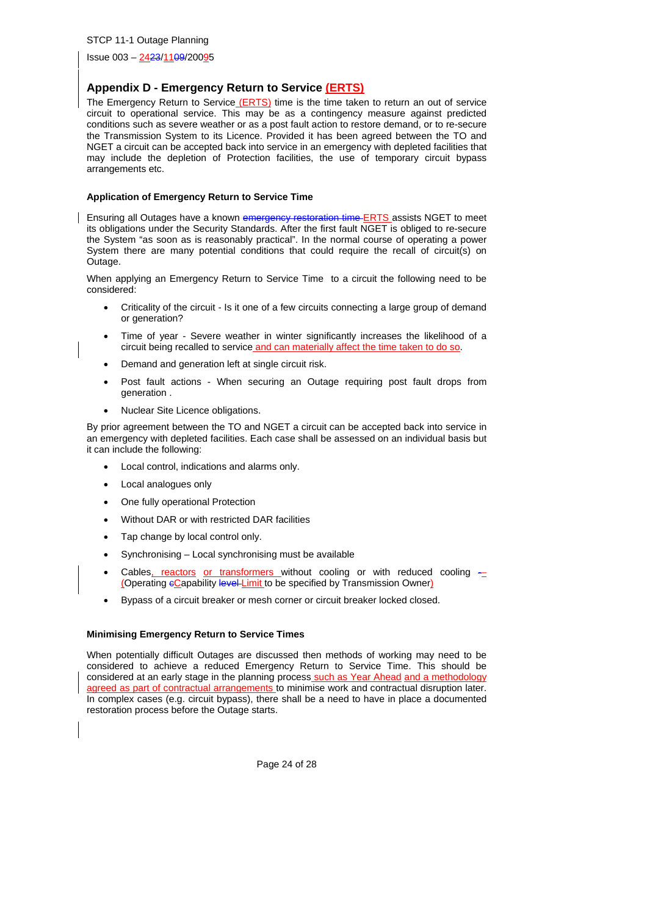Issue 003 – 2423/1109/20095

#### **Appendix D - Emergency Return to Service (ERTS)**

The Emergency Return to Service (ERTS) time is the time taken to return an out of service circuit to operational service. This may be as a contingency measure against predicted conditions such as severe weather or as a post fault action to restore demand, or to re-secure the Transmission System to its Licence. Provided it has been agreed between the TO and NGET a circuit can be accepted back into service in an emergency with depleted facilities that may include the depletion of Protection facilities, the use of temporary circuit bypass arrangements etc.

#### **Application of Emergency Return to Service Time**

Ensuring all Outages have a known emergency restoration time ERTS assists NGET to meet its obligations under the Security Standards. After the first fault NGET is obliged to re-secure the System "as soon as is reasonably practical". In the normal course of operating a power System there are many potential conditions that could require the recall of circuit(s) on Outage.

When applying an Emergency Return to Service Time to a circuit the following need to be considered:

- Criticality of the circuit Is it one of a few circuits connecting a large group of demand or generation?
- Time of year Severe weather in winter significantly increases the likelihood of a circuit being recalled to service and can materially affect the time taken to do so.
- Demand and generation left at single circuit risk.
- Post fault actions When securing an Outage requiring post fault drops from generation .
- Nuclear Site Licence obligations.

By prior agreement between the TO and NGET a circuit can be accepted back into service in an emergency with depleted facilities. Each case shall be assessed on an individual basis but it can include the following:

- Local control, indications and alarms only.
- Local analogues only
- One fully operational Protection
- Without DAR or with restricted DAR facilities
- Tap change by local control only.
- Synchronising Local synchronising must be available
- Cables, reactors or transformers without cooling or with reduced cooling  $-$ (Operating eCapability level-Limit to be specified by Transmission Owner)
- Bypass of a circuit breaker or mesh corner or circuit breaker locked closed.

#### **Minimising Emergency Return to Service Times**

When potentially difficult Outages are discussed then methods of working may need to be considered to achieve a reduced Emergency Return to Service Time. This should be considered at an early stage in the planning process such as Year Ahead and a methodology agreed as part of contractual arrangements to minimise work and contractual disruption later. In complex cases (e.g. circuit bypass), there shall be a need to have in place a documented restoration process before the Outage starts.

Page 24 of 28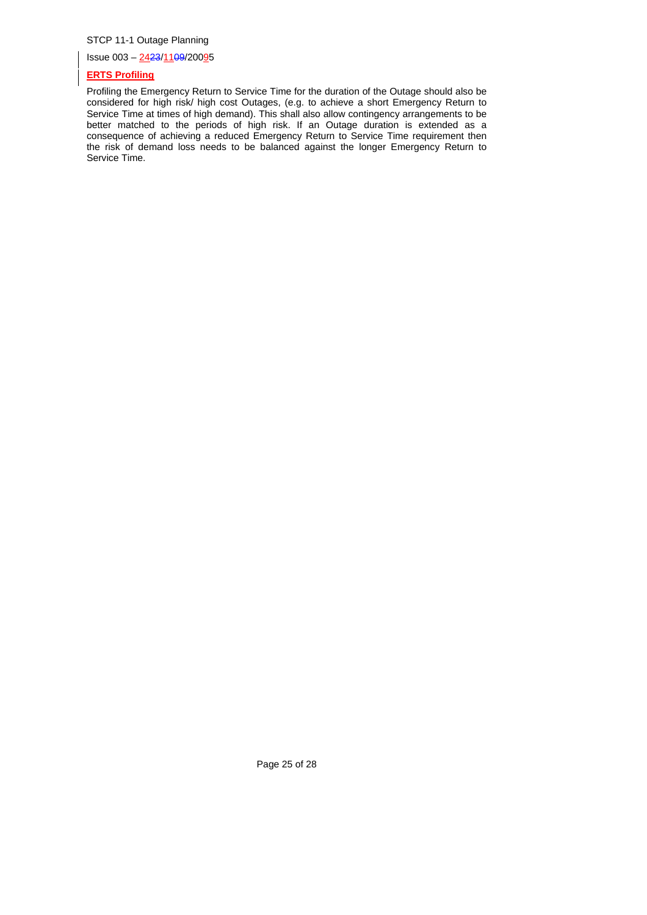Issue 003 – 2423/1109/20095

#### **ERTS Profiling**

Profiling the Emergency Return to Service Time for the duration of the Outage should also be considered for high risk/ high cost Outages, (e.g. to achieve a short Emergency Return to Service Time at times of high demand). This shall also allow contingency arrangements to be better matched to the periods of high risk. If an Outage duration is extended as a consequence of achieving a reduced Emergency Return to Service Time requirement then the risk of demand loss needs to be balanced against the longer Emergency Return to Service Time.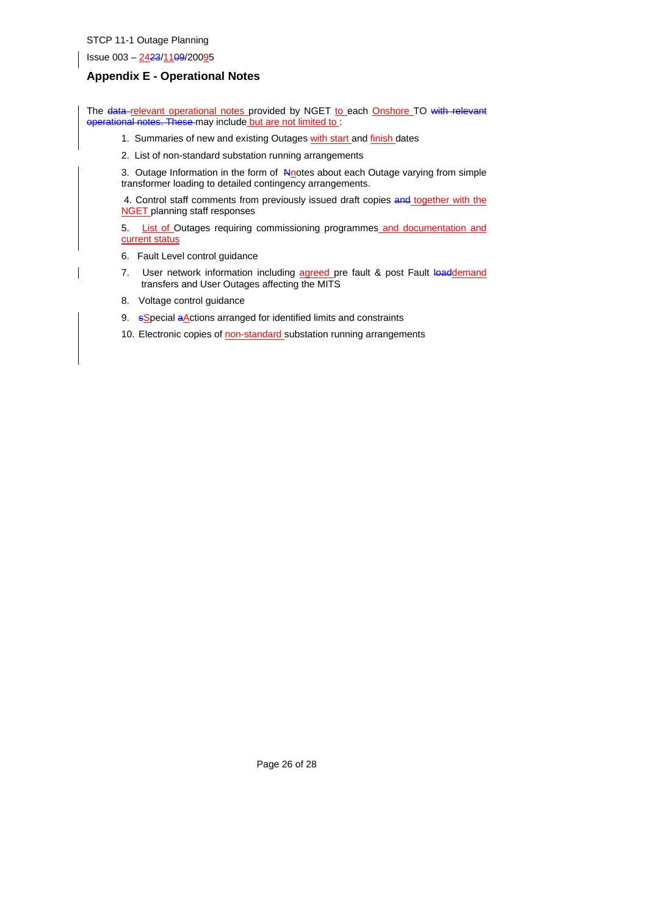Issue 003 – 2423/1109/20095

## **Appendix E - Operational Notes**

The data-relevant operational notes provided by NGET to each Onshore TO with relevant operational notes. These may include but are not limited to:

- 1. Summaries of new and existing Outages with start and finish dates
- 2. List of non-standard substation running arrangements

3. Outage Information in the form of **Anotes about each Outage varying from simple** transformer loading to detailed contingency arrangements.

4. Control staff comments from previously issued draft copies and together with the **NGET** planning staff responses

5. List of Outages requiring commissioning programmes and documentation and current status

- 6. Fault Level control guidance
- 7. User network information including agreed pre fault & post Fault loaddemand transfers and User Outages affecting the MITS
- 8. Voltage control guidance
- 9. sSpecial aActions arranged for identified limits and constraints
- 10. Electronic copies of non-standard substation running arrangements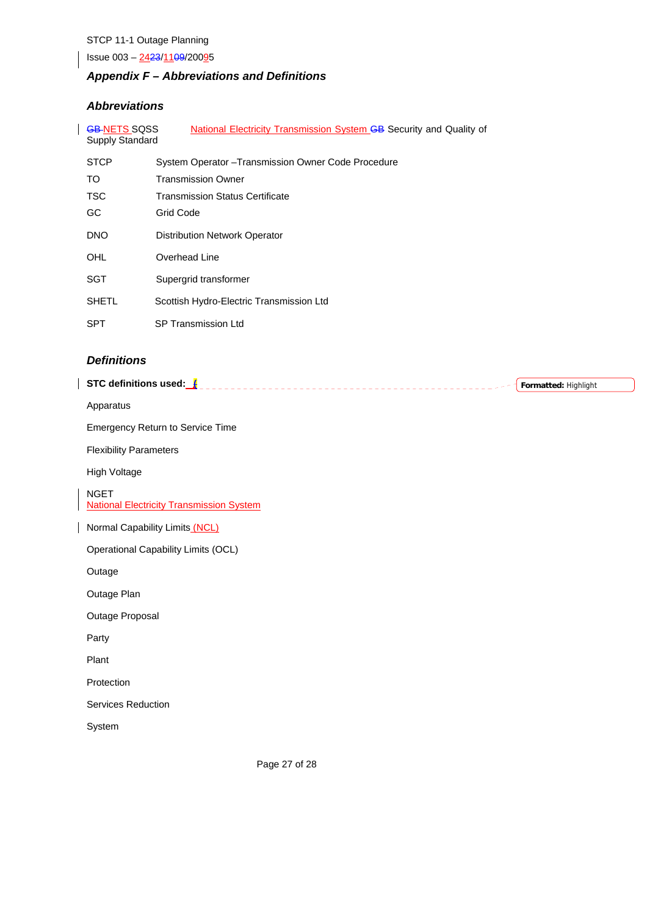Issue 003 - 2423/1109/20095

# *Appendix F – Abbreviations and Definitions*

## *Abbreviations*

 $\overline{\phantom{a}}$ 

| <b>GB-NETS SQSS</b><br>National Electricity Transmission System <b>GB</b> Security and Quality of<br><b>Supply Standard</b> |                                                     |  |  |  |
|-----------------------------------------------------------------------------------------------------------------------------|-----------------------------------------------------|--|--|--|
| <b>STCP</b>                                                                                                                 | System Operator - Transmission Owner Code Procedure |  |  |  |
| TO.                                                                                                                         | Transmission Owner                                  |  |  |  |
| <b>TSC</b>                                                                                                                  | <b>Transmission Status Certificate</b>              |  |  |  |
| GC.                                                                                                                         | Grid Code                                           |  |  |  |
| <b>DNO</b>                                                                                                                  | <b>Distribution Network Operator</b>                |  |  |  |
| OHL                                                                                                                         | Overhead Line                                       |  |  |  |
| SGT                                                                                                                         | Supergrid transformer                               |  |  |  |
| <b>SHETL</b>                                                                                                                | Scottish Hydro-Electric Transmission Ltd            |  |  |  |
| <b>SPT</b>                                                                                                                  | SP Transmission Ltd                                 |  |  |  |

## *Definitions*

 $\overline{\phantom{a}}$ 

| STC definitions used:                                          | Formatted: Highlight |
|----------------------------------------------------------------|----------------------|
| Apparatus                                                      |                      |
| <b>Emergency Return to Service Time</b>                        |                      |
| <b>Flexibility Parameters</b>                                  |                      |
| High Voltage                                                   |                      |
| <b>NGET</b><br><b>National Electricity Transmission System</b> |                      |
| Normal Capability Limits (NCL)                                 |                      |
| Operational Capability Limits (OCL)                            |                      |
| Outage                                                         |                      |
| Outage Plan                                                    |                      |
| Outage Proposal                                                |                      |
| Party                                                          |                      |
| Plant                                                          |                      |
| Protection                                                     |                      |
| Services Reduction                                             |                      |
| System                                                         |                      |
|                                                                |                      |